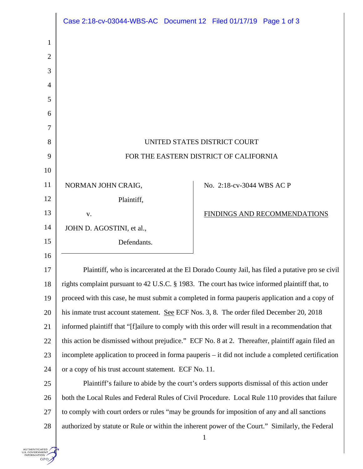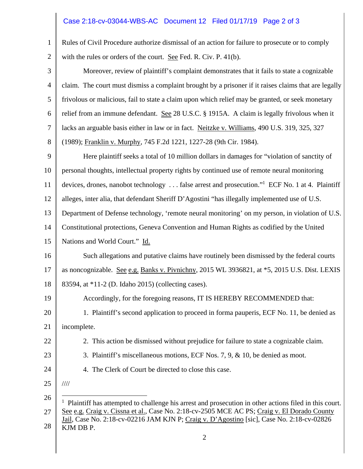## Case 2:18-cv-03044-WBS-AC Document 12 Filed 01/17/19 Page 2 of 3

| Rules of Civil Procedure authorize dismissal of an action for failure to prosecute or to comply                                                                                                                                                                                                                                      |
|--------------------------------------------------------------------------------------------------------------------------------------------------------------------------------------------------------------------------------------------------------------------------------------------------------------------------------------|
| with the rules or orders of the court. See Fed. R. Civ. P. 41(b).                                                                                                                                                                                                                                                                    |
| Moreover, review of plaintiff's complaint demonstrates that it fails to state a cognizable                                                                                                                                                                                                                                           |
| claim. The court must dismiss a complaint brought by a prisoner if it raises claims that are legally                                                                                                                                                                                                                                 |
| frivolous or malicious, fail to state a claim upon which relief may be granted, or seek monetary                                                                                                                                                                                                                                     |
| relief from an immune defendant. See 28 U.S.C. § 1915A. A claim is legally frivolous when it                                                                                                                                                                                                                                         |
| lacks an arguable basis either in law or in fact. Neitzke v. Williams, 490 U.S. 319, 325, 327                                                                                                                                                                                                                                        |
| (1989); Franklin v. Murphy, 745 F.2d 1221, 1227-28 (9th Cir. 1984).                                                                                                                                                                                                                                                                  |
| Here plaintiff seeks a total of 10 million dollars in damages for "violation of sanctity of                                                                                                                                                                                                                                          |
| personal thoughts, intellectual property rights by continued use of remote neural monitoring                                                                                                                                                                                                                                         |
| devices, drones, nanobot technology  false arrest and prosecution." ECF No. 1 at 4. Plaintiff                                                                                                                                                                                                                                        |
| alleges, inter alia, that defendant Sheriff D'Agostini "has illegally implemented use of U.S.                                                                                                                                                                                                                                        |
| Department of Defense technology, 'remote neural monitoring' on my person, in violation of U.S.                                                                                                                                                                                                                                      |
| Constitutional protections, Geneva Convention and Human Rights as codified by the United                                                                                                                                                                                                                                             |
| Nations and World Court." Id.                                                                                                                                                                                                                                                                                                        |
| Such allegations and putative claims have routinely been dismissed by the federal courts                                                                                                                                                                                                                                             |
| as noncognizable. See e.g. Banks v. Pivnichny, 2015 WL 3936821, at *5, 2015 U.S. Dist. LEXIS                                                                                                                                                                                                                                         |
| 83594, at *11-2 (D. Idaho 2015) (collecting cases).                                                                                                                                                                                                                                                                                  |
| Accordingly, for the foregoing reasons, IT IS HEREBY RECOMMENDED that:                                                                                                                                                                                                                                                               |
| 1. Plaintiff's second application to proceed in forma pauperis, ECF No. 11, be denied as                                                                                                                                                                                                                                             |
| incomplete.                                                                                                                                                                                                                                                                                                                          |
| 2. This action be dismissed without prejudice for failure to state a cognizable claim.                                                                                                                                                                                                                                               |
| 3. Plaintiff's miscellaneous motions, ECF Nos. 7, 9, $\&$ 10, be denied as moot.                                                                                                                                                                                                                                                     |
| 4. The Clerk of Court be directed to close this case.                                                                                                                                                                                                                                                                                |
| $\frac{1}{1}$                                                                                                                                                                                                                                                                                                                        |
| $1$ Plaintiff has attempted to challenge his arrest and prosecution in other actions filed in this court.<br>See e.g. Craig v. Cissna et al., Case No. 2:18-cv-2505 MCE AC PS; Craig v. El Dorado County<br>Jail, Case No. 2:18-cv-02216 JAM KJN P; Craig v. D'Agostino [sic], Case No. 2:18-cv-02826<br>KJM DB P.<br>$\overline{2}$ |
|                                                                                                                                                                                                                                                                                                                                      |

 $\parallel$